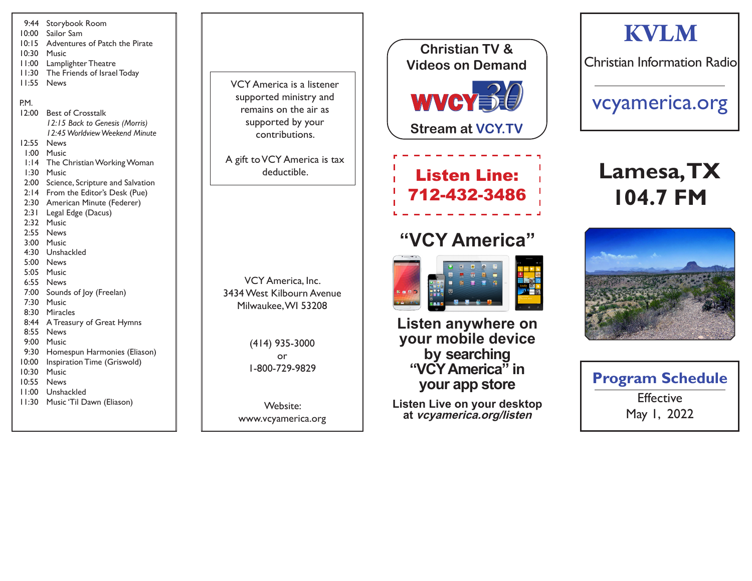| 9:44<br>10:00<br>10:15<br>11:00<br>11:30<br>11:55                                                                                                                                                     | Storybook Room<br>Sailor Sam<br>Adventures of Patch the Pirate<br>10:30 Music<br>Lamplighter Theatre<br>The Friends of Israel Today<br><b>News</b>                                                                                                                                                                                                                                                                                                                                                                                                                                                                      |
|-------------------------------------------------------------------------------------------------------------------------------------------------------------------------------------------------------|-------------------------------------------------------------------------------------------------------------------------------------------------------------------------------------------------------------------------------------------------------------------------------------------------------------------------------------------------------------------------------------------------------------------------------------------------------------------------------------------------------------------------------------------------------------------------------------------------------------------------|
| P.M.<br>12:00<br>12:55<br>$\frac{1}{2}$ :14<br>l:30 -<br>2:00<br>2:14<br>2:30<br>2:31<br>2:32<br>2:55<br>6:55<br>7:00<br>7:30<br>8:44<br>9:00 -<br>9:30<br>10:00<br>10:30<br>10:55<br>11:00<br>l I:30 | <b>Best of Crosstalk</b><br>12:15 Back to Genesis (Morris)<br>12:45 Worldview Weekend Minute<br>News<br>1:00 Music<br>The Christian Working Woman<br>Music<br>Science, Scripture and Salvation<br>From the Editor's Desk (Pue)<br>American Minute (Federer)<br>Legal Edge (Dacus)<br>Music<br><b>News</b><br>3:00 Music<br>4:30 Unshackled<br>5:00 News<br>5:05 Music<br>News<br>Sounds of Joy (Freelan)<br>Music<br>8:30 Miracles<br>A Treasury of Great Hymns<br>8:55 News<br>Music<br>Homespun Harmonies (Eliason)<br>Inspiration Time (Griswold)<br>Music<br><b>News</b><br>Unshackled<br>Music 'Til Dawn (Eliason) |
|                                                                                                                                                                                                       |                                                                                                                                                                                                                                                                                                                                                                                                                                                                                                                                                                                                                         |



A gift to VCY America is tax deductible.

VCY America, Inc. 3434 West Kilbourn Avenue Milwaukee, WI 53208

> (414) 935-3000 or 1-800-729-9829

Website: www.vcyamerica.org

## WVCY30 **Christian TV & Videos on Demand**

**Stream at VCY.TV**

### Listen Line: 712-432-3486

### **"VCY America"**



**Listen anywhere on your mobile device by searching "VCY America" in your app store**

**Listen Live on your desktop at vcyamerica.org/listen**

## **KVLM**

Christian Information Radio

vcyamerica.org

# **Lamesa, TX 104.7 FM**



| <b>Program Schedule</b> |  |
|-------------------------|--|
| <b>Effective</b>        |  |
| May 1, 2022             |  |